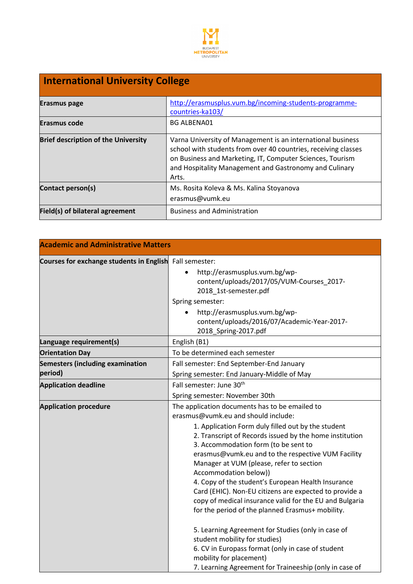

| <b>International University College</b>    |                                                                                                                                                                                                                                                               |  |
|--------------------------------------------|---------------------------------------------------------------------------------------------------------------------------------------------------------------------------------------------------------------------------------------------------------------|--|
| Erasmus page                               | http://erasmusplus.vum.bg/incoming-students-programme-<br>countries-ka103/                                                                                                                                                                                    |  |
| Erasmus code                               | <b>BG ALBENA01</b>                                                                                                                                                                                                                                            |  |
| <b>Brief description of the University</b> | Varna University of Management is an international business<br>school with students from over 40 countries, receiving classes<br>on Business and Marketing, IT, Computer Sciences, Tourism<br>and Hospitality Management and Gastronomy and Culinary<br>Arts. |  |
| Contact person(s)                          | Ms. Rosita Koleva & Ms. Kalina Stoyanova<br>erasmus@vumk.eu                                                                                                                                                                                                   |  |
| Field(s) of bilateral agreement            | <b>Business and Administration</b>                                                                                                                                                                                                                            |  |

| <b>Academic and Administrative Matters</b>              |                                                                                                                                                                                                                                                                                                                                                                                                                                                                                                                                                                                                                                                                                                                                                                                                                                           |
|---------------------------------------------------------|-------------------------------------------------------------------------------------------------------------------------------------------------------------------------------------------------------------------------------------------------------------------------------------------------------------------------------------------------------------------------------------------------------------------------------------------------------------------------------------------------------------------------------------------------------------------------------------------------------------------------------------------------------------------------------------------------------------------------------------------------------------------------------------------------------------------------------------------|
| Courses for exchange students in English Fall semester: | http://erasmusplus.vum.bg/wp-<br>$\bullet$<br>content/uploads/2017/05/VUM-Courses_2017-<br>2018_1st-semester.pdf<br>Spring semester:<br>http://erasmusplus.vum.bg/wp-<br>$\bullet$<br>content/uploads/2016/07/Academic-Year-2017-<br>2018_Spring-2017.pdf                                                                                                                                                                                                                                                                                                                                                                                                                                                                                                                                                                                 |
| Language requirement(s)                                 | English (B1)                                                                                                                                                                                                                                                                                                                                                                                                                                                                                                                                                                                                                                                                                                                                                                                                                              |
| <b>Orientation Day</b>                                  | To be determined each semester                                                                                                                                                                                                                                                                                                                                                                                                                                                                                                                                                                                                                                                                                                                                                                                                            |
| <b>Semesters (including examination</b><br>period)      | Fall semester: End September-End January<br>Spring semester: End January-Middle of May                                                                                                                                                                                                                                                                                                                                                                                                                                                                                                                                                                                                                                                                                                                                                    |
| <b>Application deadline</b>                             | Fall semester: June 30 <sup>th</sup><br>Spring semester: November 30th                                                                                                                                                                                                                                                                                                                                                                                                                                                                                                                                                                                                                                                                                                                                                                    |
| <b>Application procedure</b>                            | The application documents has to be emailed to<br>erasmus@vumk.eu and should include:<br>1. Application Form duly filled out by the student<br>2. Transcript of Records issued by the home institution<br>3. Accommodation form (to be sent to<br>erasmus@vumk.eu and to the respective VUM Facility<br>Manager at VUM (please, refer to section<br>Accommodation below))<br>4. Copy of the student's European Health Insurance<br>Card (EHIC). Non-EU citizens are expected to provide a<br>copy of medical insurance valid for the EU and Bulgaria<br>for the period of the planned Erasmus+ mobility.<br>5. Learning Agreement for Studies (only in case of<br>student mobility for studies)<br>6. CV in Europass format (only in case of student<br>mobility for placement)<br>7. Learning Agreement for Traineeship (only in case of |